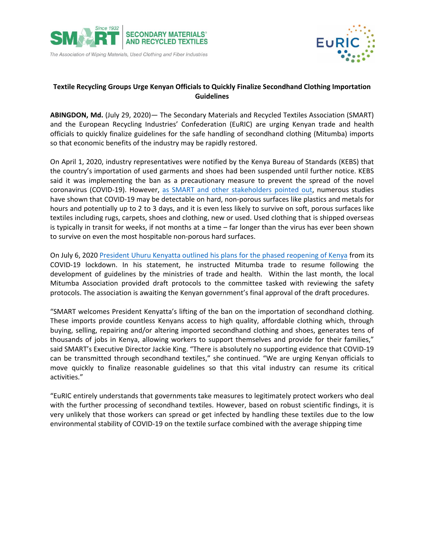



## **Textile Recycling Groups Urge Kenyan Officials to Quickly Finalize Secondhand Clothing Importation Guidelines**

**ABINGDON, Md.** (July 29, 2020)— The Secondary Materials and Recycled Textiles Association (SMART) and the European Recycling Industries' Confederation (EuRIC) are urging Kenyan trade and health officials to quickly finalize guidelines for the safe handling of secondhand clothing (Mitumba) imports so that economic benefits of the industry may be rapidly restored.

[On April 1, 2020, industry repres](mailto:Patrick.Seidl@fallstongroup.com)entatives were notified by the Kenya Bureau of Standards (KEBS) that the country's importation of used garments and shoes had been suspended until further notice. KEBS said it was implementing the ban as a precautionary measure to prevent the spread of the novel coronavirus (COVID-19). However, [as SMART and other stakeholders pointed out,](https://www.smartasn.org/SMARTASN/assets/File/pressreleases/Kenya%20imports%20ban%20-%20FINAL.pdf) numerous studies have shown that COVID-19 may be detectable on hard, non-porous surfaces like plastics and metals for hours and potentially up to 2 to 3 days, and it is even less likely to survive on soft, porous surfaces like textiles including rugs, carpets, shoes and clothing, new or used. Used clothing that is shipped overseas is typically in transit for weeks, if not months at a time – far longer than the virus has ever been shown to survive on even the most hospitable non-porous hard surfaces.

On July 6, 2020 [President Uhuru Kenyatta outlined his plans for the phased reopening of Kenya](file:///C:/Users/14437/The%20Fallston%20Group%20Dropbox/_Clients/ACTIVE/SMART/PR/News%20Releases/kenya%20president%20statement.docx) from its COVID-19 lockdown. In his statement, he instructed Mitumba trade to resume following the development of guidelines by the ministries of trade and health. Within the last month, the local Mitumba Association provided draft protocols to the committee tasked with reviewing the safety protocols. The association is awaiting the Kenyan government's final approval of the draft procedures.

"SMART welcomes President Kenyatta's lifting of the ban on the importation of secondhand clothing. These imports provide countless Kenyans access to high quality, affordable clothing which, through buying, selling, repairing and/or altering imported secondhand clothing and shoes, generates tens of thousands of jobs in Kenya, allowing workers to support themselves and provide for their families," said SMART's Executive Director Jackie King. "There is absolutely no supporting evidence that COVID-19 can be transmitted through secondhand textiles," she continued. "We are urging Kenyan officials to move quickly to finalize reasonable guidelines so that this vital industry can resume its critical activities."

"EuRIC entirely understands that governments take measures to legitimately protect workers who deal with the further processing of secondhand textiles. However, based on robust scientific findings, it is very unlikely that those workers can spread or get infected by handling these textiles due to the low environmental stability of COVID-19 on the textile surface combined with the average shipping time